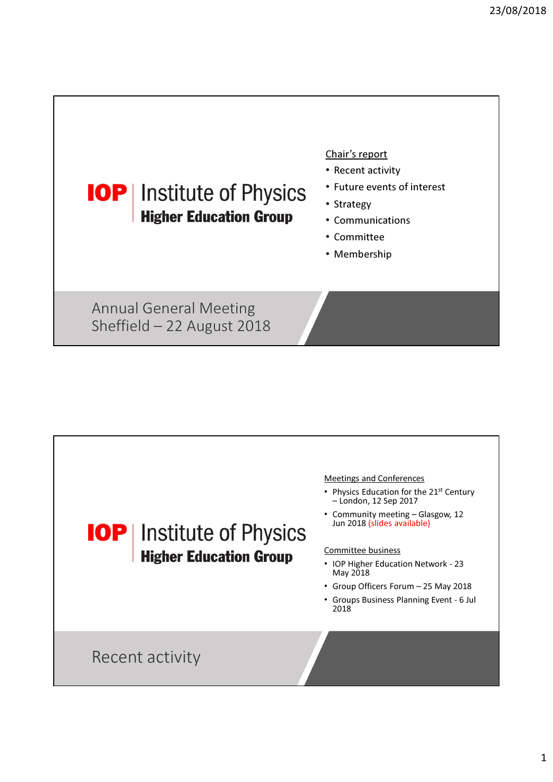

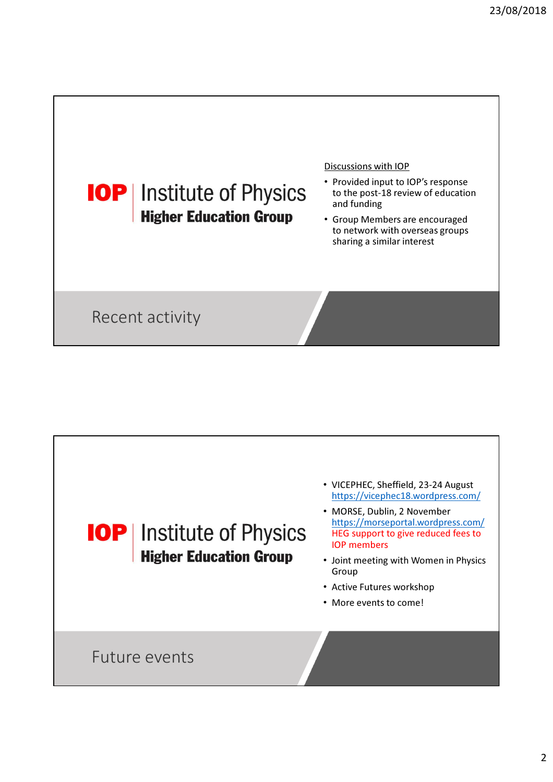

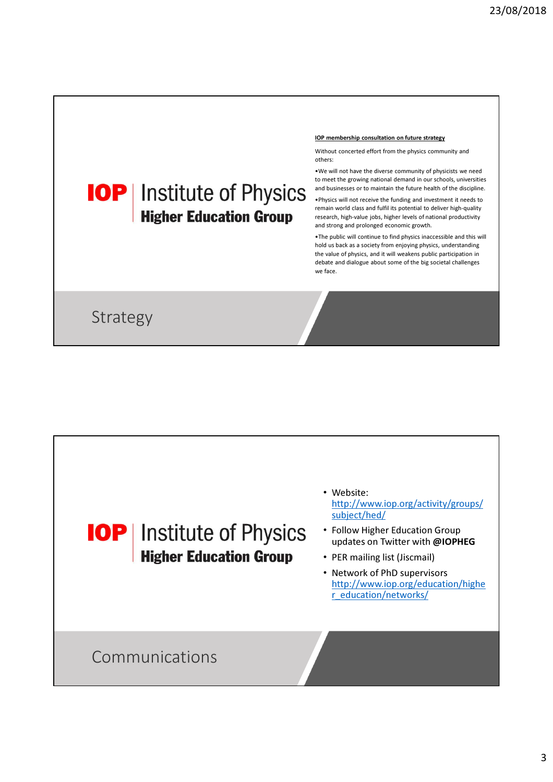## IOP membership consultation on future strategy

Without concerted effort from the physics community and others:

•We will not have the diverse community of physicists we need to meet the growing national demand in our schools, universities and businesses or to maintain the future health of the discipline.

•Physics will not receive the funding and investment it needs to remain world class and fulfil its potential to deliver high-quality research, high-value jobs, higher levels of national productivity and strong and prolonged economic growth.

•The public will continue to find physics inaccessible and this will hold us back as a society from enjoying physics, understanding the value of physics, and it will weakens public participation in debate and dialogue about some of the big societal challenges we face.

Strategy

**IOP** | Institute of Physics

**Higher Education Group** 

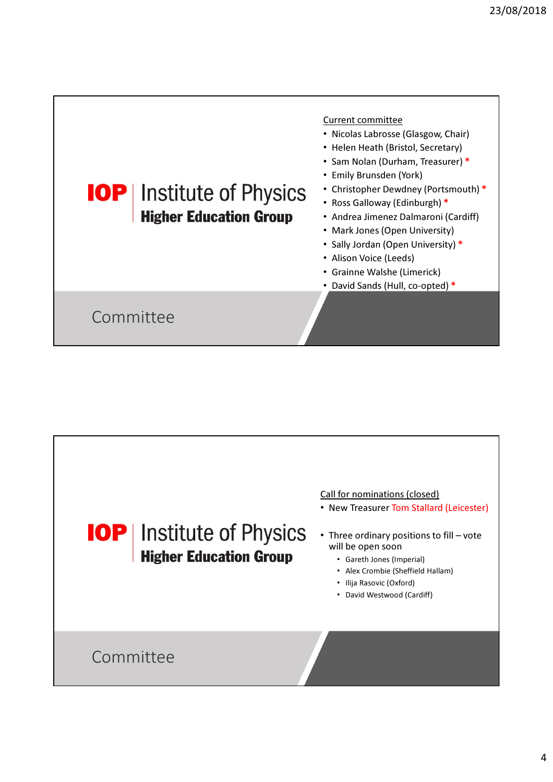